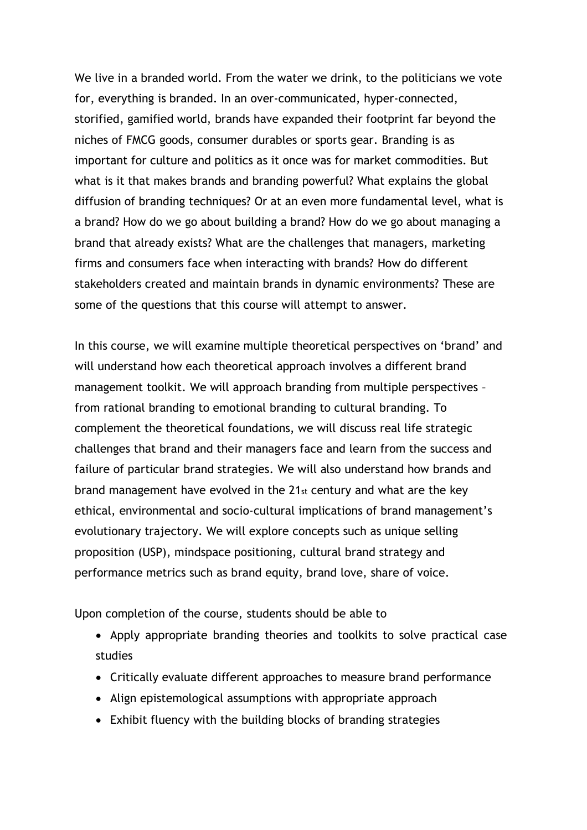We live in a branded world. From the water we drink, to the politicians we vote for, everything is branded. In an over-communicated, hyper-connected, storified, gamified world, brands have expanded their footprint far beyond the niches of FMCG goods, consumer durables or sports gear. Branding is as important for culture and politics as it once was for market commodities. But what is it that makes brands and branding powerful? What explains the global diffusion of branding techniques? Or at an even more fundamental level, what is a brand? How do we go about building a brand? How do we go about managing a brand that already exists? What are the challenges that managers, marketing firms and consumers face when interacting with brands? How do different stakeholders created and maintain brands in dynamic environments? These are some of the questions that this course will attempt to answer.

In this course, we will examine multiple theoretical perspectives on 'brand' and will understand how each theoretical approach involves a different brand management toolkit. We will approach branding from multiple perspectives – from rational branding to emotional branding to cultural branding. To complement the theoretical foundations, we will discuss real life strategic challenges that brand and their managers face and learn from the success and failure of particular brand strategies. We will also understand how brands and brand management have evolved in the 21st century and what are the key ethical, environmental and socio-cultural implications of brand management's evolutionary trajectory. We will explore concepts such as unique selling proposition (USP), mindspace positioning, cultural brand strategy and performance metrics such as brand equity, brand love, share of voice.

Upon completion of the course, students should be able to

- Apply appropriate branding theories and toolkits to solve practical case studies
- Critically evaluate different approaches to measure brand performance
- Align epistemological assumptions with appropriate approach
- Exhibit fluency with the building blocks of branding strategies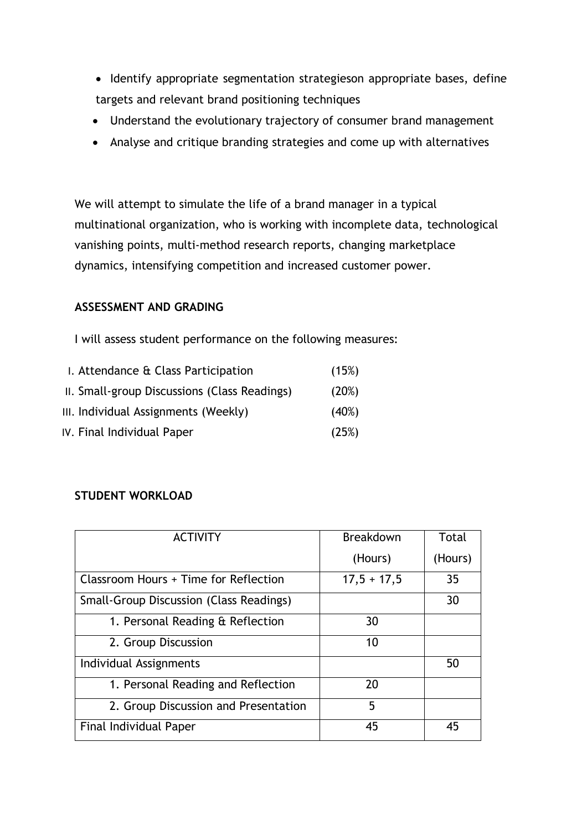- Identify appropriate segmentation strategieson appropriate bases, define targets and relevant brand positioning techniques
- Understand the evolutionary trajectory of consumer brand management
- Analyse and critique branding strategies and come up with alternatives

We will attempt to simulate the life of a brand manager in a typical multinational organization, who is working with incomplete data, technological vanishing points, multi-method research reports, changing marketplace dynamics, intensifying competition and increased customer power.

## **ASSESSMENT AND GRADING**

I will assess student performance on the following measures:

| I. Attendance & Class Participation          | (15%) |
|----------------------------------------------|-------|
| II. Small-group Discussions (Class Readings) | (20%) |
| III. Individual Assignments (Weekly)         | (40%) |
| IV. Final Individual Paper                   | (25%) |

## **STUDENT WORKLOAD**

| <b>ACTIVITY</b>                                | Breakdown     | Total   |
|------------------------------------------------|---------------|---------|
|                                                | (Hours)       | (Hours) |
| Classroom Hours + Time for Reflection          | $17,5 + 17,5$ | 35      |
| <b>Small-Group Discussion (Class Readings)</b> |               | 30      |
| 1. Personal Reading & Reflection               | 30            |         |
| 2. Group Discussion                            | 10            |         |
| Individual Assignments                         |               | 50      |
| 1. Personal Reading and Reflection             | 20            |         |
| 2. Group Discussion and Presentation           | 5             |         |
| Final Individual Paper                         | 45            | 45      |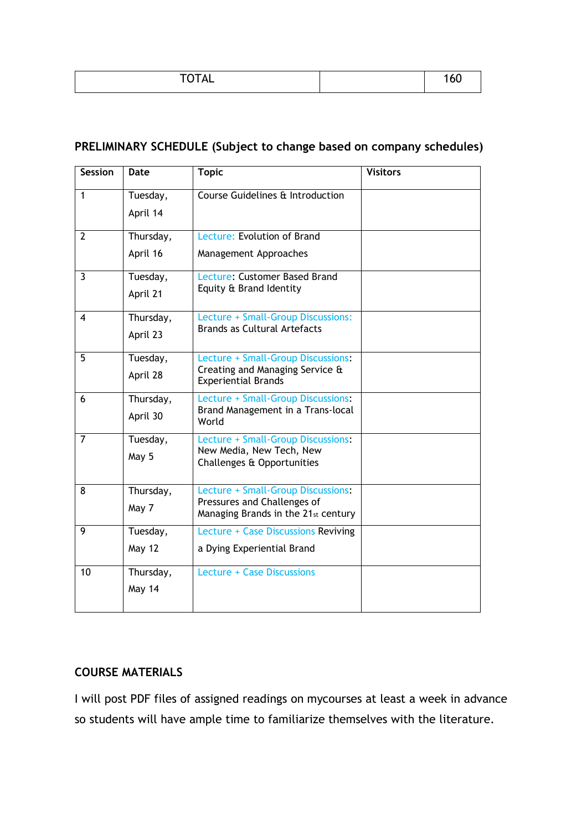| $T$ $T$ $T$ $T$<br>VIML | טט ו |
|-------------------------|------|

# **PRELIMINARY SCHEDULE (Subject to change based on company schedules)**

| <b>Session</b> | Date      | <b>Topic</b>                                                       | <b>Visitors</b> |
|----------------|-----------|--------------------------------------------------------------------|-----------------|
| $\mathbf{1}$   | Tuesday,  | Course Guidelines & Introduction                                   |                 |
|                | April 14  |                                                                    |                 |
| $\overline{2}$ | Thursday, | Lecture: Evolution of Brand                                        |                 |
|                | April 16  | Management Approaches                                              |                 |
| $\overline{3}$ | Tuesday,  | Lecture: Customer Based Brand                                      |                 |
|                | April 21  | Equity & Brand Identity                                            |                 |
| 4              | Thursday, | Lecture + Small-Group Discussions:                                 |                 |
|                | April 23  | <b>Brands as Cultural Artefacts</b>                                |                 |
| 5              | Tuesday,  | Lecture + Small-Group Discussions:                                 |                 |
|                | April 28  | Creating and Managing Service &<br><b>Experiential Brands</b>      |                 |
| 6              | Thursday, | Lecture + Small-Group Discussions:                                 |                 |
|                | April 30  | Brand Management in a Trans-local<br>World                         |                 |
| 7              | Tuesday,  | Lecture + Small-Group Discussions:<br>New Media, New Tech, New     |                 |
|                | May 5     | Challenges & Opportunities                                         |                 |
| 8              | Thursday, | Lecture + Small-Group Discussions:                                 |                 |
|                | May 7     | Pressures and Challenges of<br>Managing Brands in the 21st century |                 |
| 9              | Tuesday,  | Lecture + Case Discussions Reviving                                |                 |
|                | May 12    | a Dying Experiential Brand                                         |                 |
| 10             | Thursday, | Lecture + Case Discussions                                         |                 |
|                | May 14    |                                                                    |                 |
|                |           |                                                                    |                 |

# **COURSE MATERIALS**

I will post PDF files of assigned readings on mycourses at least a week in advance so students will have ample time to familiarize themselves with the literature.